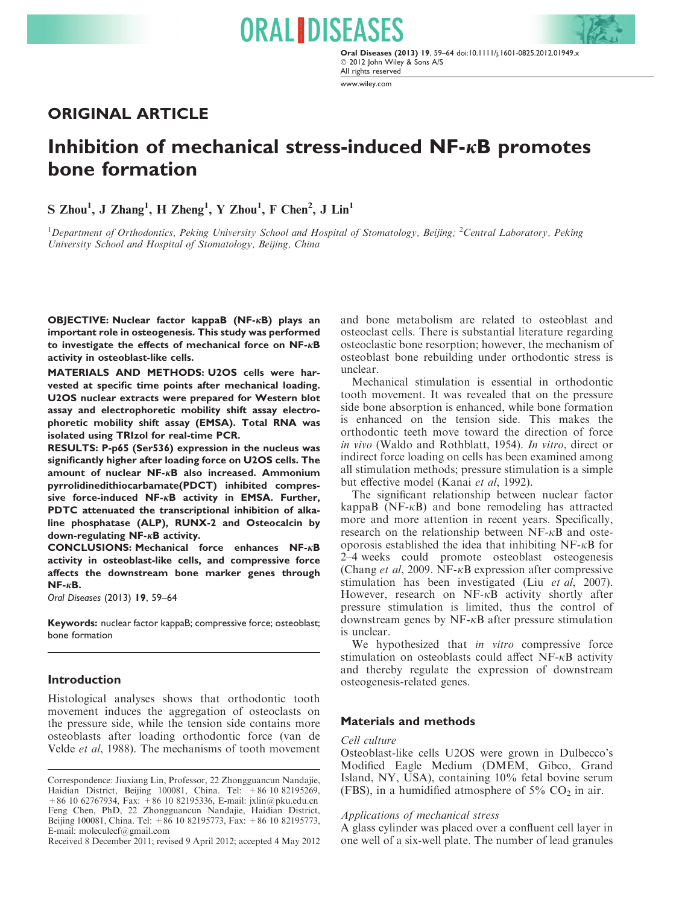Oral Diseases (2013) 19, 59–64 doi:10.1111/j.1601-0825.2012.01949.x - 2012 John Wiley & Sons A/S All rights reserved

www.wiley.com

# ORIGINAL ARTICLE

# Inhibition of mechanical stress-induced  $NF$ - $\kappa$ B promotes bone formation

**ORAL IDISEASES** 

 $S$  Zhou<sup>1</sup>, J Zhang<sup>1</sup>, H Zheng<sup>1</sup>, Y Zhou<sup>1</sup>, F Chen<sup>2</sup>, J Lin<sup>1</sup>

<sup>1</sup>Department of Orthodontics, Peking University School and Hospital of Stomatology, Beijing; <sup>2</sup>Central Laboratory, Peking University School and Hospital of Stomatology, Beijing, China

OBJECTIVE: Nuclear factor kappaB (NF-KB) plays an important role in osteogenesis. This study was performed to investigate the effects of mechanical force on  $NF$ - $\kappa$ B activity in osteoblast-like cells.

MATERIALS AND METHODS: U2OS cells were harvested at specific time points after mechanical loading. U2OS nuclear extracts were prepared for Western blot assay and electrophoretic mobility shift assay electrophoretic mobility shift assay (EMSA). Total RNA was isolated using TRIzol for real-time PCR.

RESULTS: P-p65 (Ser536) expression in the nucleus was significantly higher after loading force on U2OS cells. The amount of nuclear  $NF-\kappa B$  also increased. Ammonium pyrrolidinedithiocarbamate(PDCT) inhibited compressive force-induced NF- $\kappa$ B activity in EMSA. Further, PDTC attenuated the transcriptional inhibition of alkaline phosphatase (ALP), RUNX-2 and Osteocalcin by down-regulating  $NF - \kappa B$  activity.

**CONCLUSIONS: Mechanical force enhances NF-** $\kappa$ **B** activity in osteoblast-like cells, and compressive force affects the downstream bone marker genes through  $NF - \kappa B$ .

Oral Diseases (2013) 19, 59–64

Keywords: nuclear factor kappaB; compressive force; osteoblast; bone formation

### Introduction

Histological analyses shows that orthodontic tooth movement induces the aggregation of osteoclasts on the pressure side, while the tension side contains more osteoblasts after loading orthodontic force (van de Velde et al, 1988). The mechanisms of tooth movement

Received 8 December 2011; revised 9 April 2012; accepted 4 May 2012

and bone metabolism are related to osteoblast and osteoclast cells. There is substantial literature regarding osteoclastic bone resorption; however, the mechanism of osteoblast bone rebuilding under orthodontic stress is unclear.

Mechanical stimulation is essential in orthodontic tooth movement. It was revealed that on the pressure side bone absorption is enhanced, while bone formation is enhanced on the tension side. This makes the orthodontic teeth move toward the direction of force in vivo (Waldo and Rothblatt, 1954). In vitro, direct or indirect force loading on cells has been examined among all stimulation methods; pressure stimulation is a simple but effective model (Kanai et al, 1992).

The significant relationship between nuclear factor kappaB ( $NF-\kappa$ B) and bone remodeling has attracted more and more attention in recent years. Specifically, research on the relationship between  $NF-\kappa B$  and osteoporosis established the idea that inhibiting  $NF-\kappa B$  for 2–4 weeks could promote osteoblast osteogenesis (Chang *et al.* 2009. NF- $\kappa$ B expression after compressive stimulation has been investigated (Liu et al, 2007). However, research on  $NF-\kappa B$  activity shortly after pressure stimulation is limited, thus the control of downstream genes by  $NF-\kappa B$  after pressure stimulation is unclear.

We hypothesized that *in vitro* compressive force stimulation on osteoblasts could affect  $NF-\kappa B$  activity and thereby regulate the expression of downstream osteogenesis-related genes.

#### Materials and methods

#### Cell culture

Osteoblast-like cells U2OS were grown in Dulbecco's Modified Eagle Medium (DMEM, Gibco, Grand Island, NY, USA), containing 10% fetal bovine serum (FBS), in a humidified atmosphere of  $5\%$  CO<sub>2</sub> in air.

### Applications of mechanical stress

A glass cylinder was placed over a confluent cell layer in one well of a six-well plate. The number of lead granules

Correspondence: Jiuxiang Lin, Professor, 22 Zhongguancun Nandajie, Haidian District, Beijing 100081, China. Tel: +86 10 82195269, +86 10 62767934, Fax: +86 10 82195336, E-mail: jxlin@pku.edu.cn Feng Chen, PhD, 22 Zhongguancun Nandajie, Haidian District, Beijing 100081, China. Tel: +86 10 82195773, Fax: +86 10 82195773, E-mail: moleculecf@gmail.com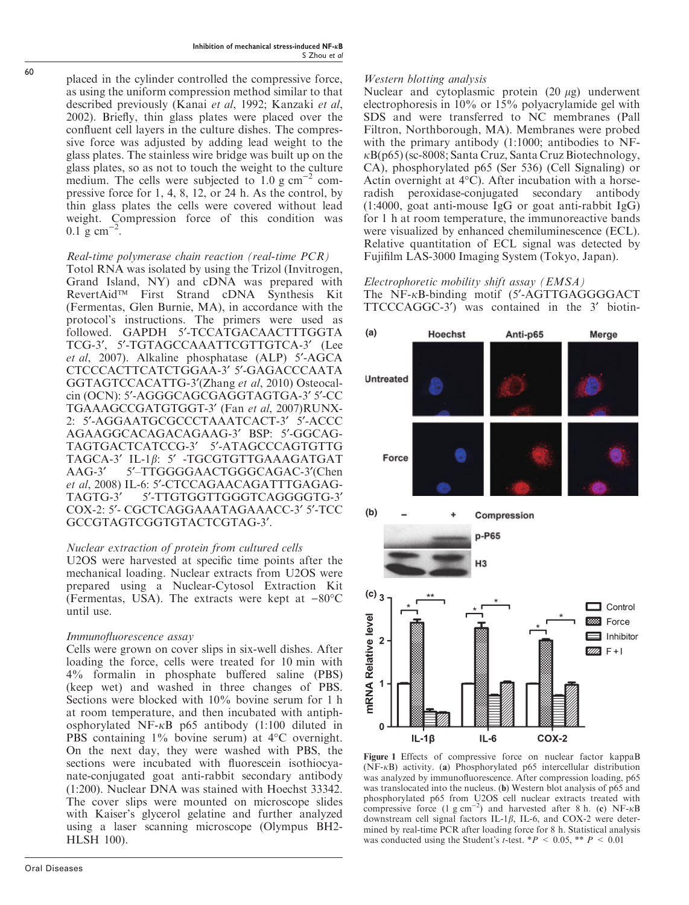placed in the cylinder controlled the compressive force, as using the uniform compression method similar to that described previously (Kanai et al, 1992; Kanzaki et al, 2002). Briefly, thin glass plates were placed over the confluent cell layers in the culture dishes. The compressive force was adjusted by adding lead weight to the glass plates. The stainless wire bridge was built up on the glass plates, so as not to touch the weight to the culture medium. The cells were subjected to  $1.0 \text{ g cm}^{-2}$  compressive force for 1, 4, 8, 12, or 24 h. As the control, by thin glass plates the cells were covered without lead weight. Compression force of this condition was  $0.1 \text{ g cm}^{-2}$ .

# Real-time polymerase chain reaction (real-time PCR)

Totol RNA was isolated by using the Trizol (Invitrogen, Grand Island, NY) and cDNA was prepared with RevertAid<sup>TM</sup> First Strand cDNA Synthesis Kit (Fermentas, Glen Burnie, MA), in accordance with the protocol's instructions. The primers were used as followed. GAPDH 5¢-TCCATGACAACTTTGGTA TCG-3', 5'-TGTAGCCAAATTCGTTGTCA-3' (Lee et al, 2007). Alkaline phosphatase (ALP) 5'-AGCA CTCCCACTTCATCTGGAA-3' 5'-GAGACCCAATA GGTAGTCCACATTG-3'(Zhang et al, 2010) Osteocalcin (OCN): 5'-AGGGCAGCGAGGTAGTGA-3' 5'-CC TGAAAGCCGATGTGGT-3' (Fan et al, 2007)RUNX-2: 5'-AGGAATGCGCCCTAAATCACT-3' 5'-ACCC AGAAGGCACAGACAGAAG-3¢ BSP: 5¢-GGCAG-TAGTGACTCATCCG-3' 5'-ATAGCCCAGTGTTG TAGCA-3' IL-1 $\beta$ : 5' -TGCGTGTTGAAAGATGAT AAG-3' 5'-TTGGGGAACTGGGCAGAC-3'(Chen et al, 2008) IL-6: 5'-CTCCAGAACAGATTTGAGAG-TAGTG-3' 5'-TTGTGGTTGGGTCAGGGGTG-3' COX-2: 5'- CGCTCAGGAAATAGAAACC-3' 5'-TCC GCCGTAGTCGGTGTACTCGTAG-3'.

# Nuclear extraction of protein from cultured cells

U2OS were harvested at specific time points after the mechanical loading. Nuclear extracts from U2OS were prepared using a Nuclear-Cytosol Extraction Kit (Fermentas, USA). The extracts were kept at  $-80^{\circ}$ C until use.

# Immunofluorescence assay

Cells were grown on cover slips in six-well dishes. After loading the force, cells were treated for 10 min with 4% formalin in phosphate buffered saline (PBS) (keep wet) and washed in three changes of PBS. Sections were blocked with 10% bovine serum for 1 h at room temperature, and then incubated with antiphosphorylated NF- $\kappa$ B p65 antibody (1:100 diluted in PBS containing  $1\%$  bovine serum) at  $4^{\circ}$ C overnight. On the next day, they were washed with PBS, the sections were incubated with fluorescein isothiocyanate-conjugated goat anti-rabbit secondary antibody (1:200). Nuclear DNA was stained with Hoechst 33342. The cover slips were mounted on microscope slides with Kaiser's glycerol gelatine and further analyzed using a laser scanning microscope (Olympus BH2- HLSH 100).

# Western blotting analysis

Nuclear and cytoplasmic protein  $(20 \mu g)$  underwent electrophoresis in 10% or 15% polyacrylamide gel with SDS and were transferred to NC membranes (Pall Filtron, Northborough, MA). Membranes were probed with the primary antibody (1:1000; antibodies to NF- $\kappa$ B(p65) (sc-8008; Santa Cruz, Santa Cruz Biotechnology, CA), phosphorylated p65 (Ser 536) (Cell Signaling) or Actin overnight at  $4^{\circ}$ C). After incubation with a horseradish peroxidase-conjugated secondary antibody (1:4000, goat anti-mouse IgG or goat anti-rabbit IgG) for 1 h at room temperature, the immunoreactive bands were visualized by enhanced chemiluminescence (ECL). Relative quantitation of ECL signal was detected by Fujifilm LAS-3000 Imaging System (Tokyo, Japan).

#### Electrophoretic mobility shift assay (EMSA) The  $NF-<sub>k</sub>B$ -binding motif (5'-AGTTGAGGGGACT)TTCCCAGGC-3<sup>'</sup>) was contained in the 3' biotin-



Figure 1 Effects of compressive force on nuclear factor kappaB ( $NF-\kappa B$ ) activity. (a) Phosphorylated p65 intercellular distribution was analyzed by immunofluorescence. After compression loading, p65 was translocated into the nucleus. (b) Western blot analysis of p65 and phosphorylated p65 from U2OS cell nuclear extracts treated with compressive force  $(1 \text{ g cm}^{-2})$  and harvested after 8 h. (c) NF- $\kappa$ B downstream cell signal factors IL-1 $\beta$ , IL-6, and COX-2 were determined by real-time PCR after loading force for 8 h. Statistical analysis was conducted using the Student's *t*-test. \*  $P < 0.05$ , \* \*  $P < 0.01$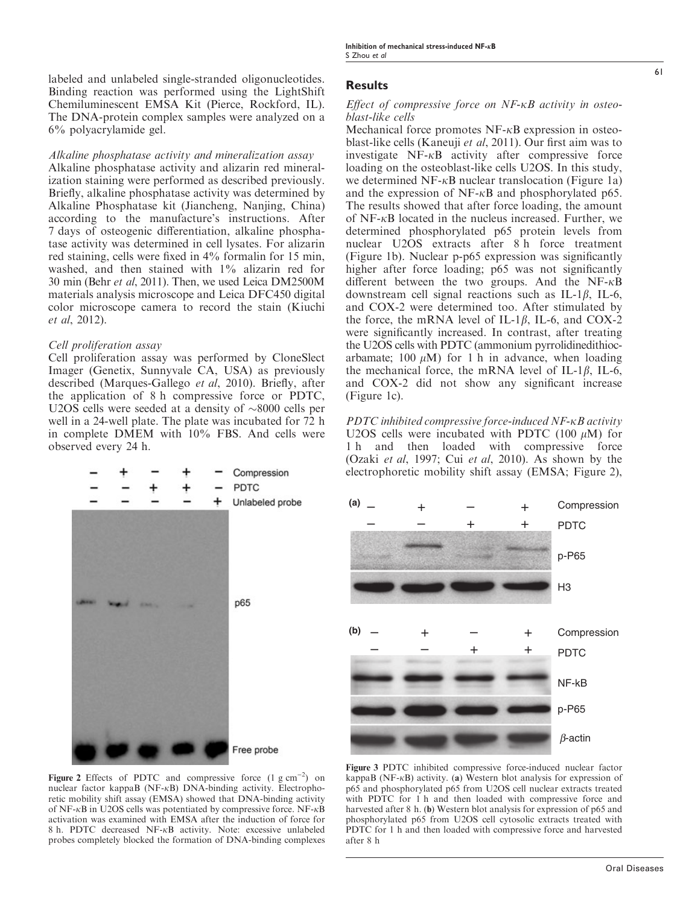labeled and unlabeled single-stranded oligonucleotides. Binding reaction was performed using the LightShift Chemiluminescent EMSA Kit (Pierce, Rockford, IL). The DNA-protein complex samples were analyzed on a 6% polyacrylamide gel.

#### Alkaline phosphatase activity and mineralization assay

Alkaline phosphatase activity and alizarin red mineralization staining were performed as described previously. Briefly, alkaline phosphatase activity was determined by Alkaline Phosphatase kit (Jiancheng, Nanjing, China) according to the manufacture's instructions. After 7 days of osteogenic differentiation, alkaline phosphatase activity was determined in cell lysates. For alizarin red staining, cells were fixed in 4% formalin for 15 min, washed, and then stained with 1% alizarin red for 30 min (Behr et al, 2011). Then, we used Leica DM2500M materials analysis microscope and Leica DFC450 digital color microscope camera to record the stain (Kiuchi et al, 2012).

#### Cell proliferation assay

Cell proliferation assay was performed by CloneSlect Imager (Genetix, Sunnyvale CA, USA) as previously described (Marques-Gallego et al, 2010). Briefly, after the application of 8 h compressive force or PDTC, U2OS cells were seeded at a density of  $\sim 8000$  cells per well in a 24-well plate. The plate was incubated for 72 h in complete DMEM with 10% FBS. And cells were observed every 24 h.



Figure 2 Effects of PDTC and compressive force  $(1 g cm^{-2})$  on nuclear factor kappaB (NF- $\kappa$ B) DNA-binding activity. Electrophoretic mobility shift assay (EMSA) showed that DNA-binding activity of NF- $\kappa$ B in U2OS cells was potentiated by compressive force. NF- $\kappa$ B activation was examined with EMSA after the induction of force for 8 h. PDTC decreased  $NF-\kappa B$  activity. Note: excessive unlabeled probes completely blocked the formation of DNA-binding complexes

### Results

#### Effect of compressive force on  $NF$ - $\kappa B$  activity in osteoblast-like cells

Mechanical force promotes  $NF-\kappa B$  expression in osteoblast-like cells (Kaneuji et al, 2011). Our first aim was to investigate  $NF-\kappa B$  activity after compressive force loading on the osteoblast-like cells U2OS. In this study, we determined NF- $\kappa$ B nuclear translocation (Figure 1a) and the expression of  $NF-\kappa B$  and phosphorylated p65. The results showed that after force loading, the amount of  $NF-\kappa B$  located in the nucleus increased. Further, we determined phosphorylated p65 protein levels from nuclear U2OS extracts after 8 h force treatment (Figure 1b). Nuclear p-p65 expression was significantly higher after force loading; p65 was not significantly different between the two groups. And the NF- $\kappa$ B downstream cell signal reactions such as IL-1 $\beta$ , IL-6, and COX-2 were determined too. After stimulated by the force, the mRNA level of IL-1 $\beta$ , IL-6, and COX-2 were significantly increased. In contrast, after treating the U2OS cells with PDTC (ammonium pyrrolidinedithiocarbamate; 100  $\mu$ M) for 1 h in advance, when loading the mechanical force, the mRNA level of IL-1 $\beta$ , IL-6, and COX-2 did not show any significant increase (Figure 1c).

PDTC inhibited compressive force-induced  $NF$ - $\kappa$ B activity U2OS cells were incubated with PDTC (100  $\mu$ M) for 1 h and then loaded with compressive force (Ozaki et al, 1997; Cui et al, 2010). As shown by the electrophoretic mobility shift assay (EMSA; Figure 2),



Figure 3 PDTC inhibited compressive force-induced nuclear factor kappaB (NF- $\kappa$ B) activity. (a) Western blot analysis for expression of p65 and phosphorylated p65 from U2OS cell nuclear extracts treated with PDTC for 1 h and then loaded with compressive force and harvested after 8 h. (b) Western blot analysis for expression of p65 and phosphorylated p65 from U2OS cell cytosolic extracts treated with PDTC for 1 h and then loaded with compressive force and harvested after 8 h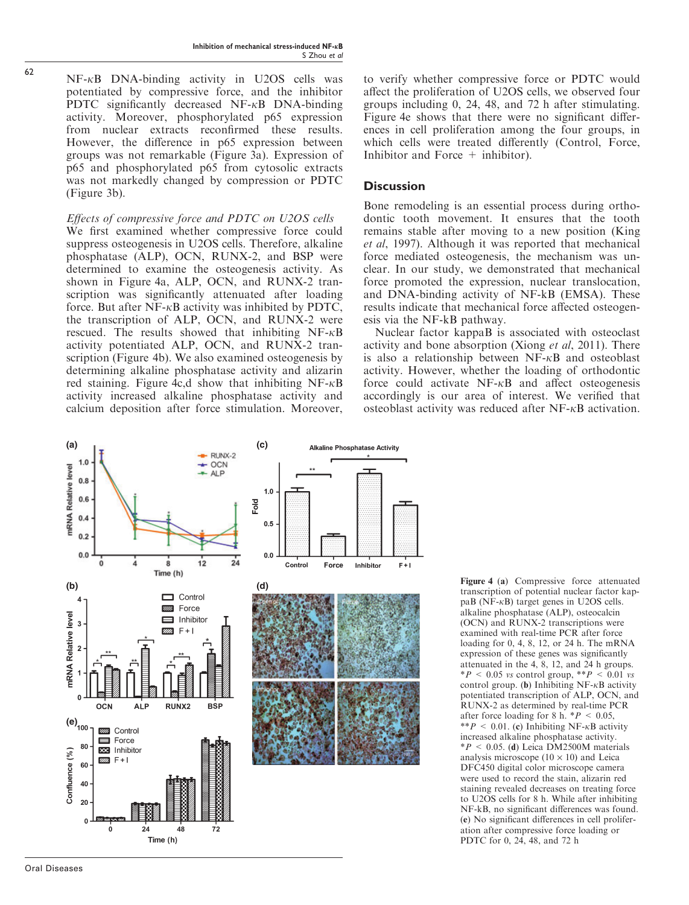$NF-\kappa B$  DNA-binding activity in U2OS cells was potentiated by compressive force, and the inhibitor PDTC significantly decreased  $NF-\kappa B$  DNA-binding activity. Moreover, phosphorylated p65 expression from nuclear extracts reconfirmed these results. However, the difference in p65 expression between groups was not remarkable (Figure 3a). Expression of p65 and phosphorylated p65 from cytosolic extracts was not markedly changed by compression or PDTC (Figure 3b).

### Effects of compressive force and PDTC on U2OS cells

We first examined whether compressive force could suppress osteogenesis in U2OS cells. Therefore, alkaline phosphatase (ALP), OCN, RUNX-2, and BSP were determined to examine the osteogenesis activity. As shown in Figure 4a, ALP, OCN, and RUNX-2 transcription was significantly attenuated after loading force. But after  $N_F$ - $\kappa$ B activity was inhibited by PDTC, the transcription of ALP, OCN, and RUNX-2 were rescued. The results showed that inhibiting  $NF-\kappa B$ activity potentiated ALP, OCN, and RUNX-2 transcription (Figure 4b). We also examined osteogenesis by determining alkaline phosphatase activity and alizarin red staining. Figure  $4c,d$  show that inhibiting NF- $\kappa$ B activity increased alkaline phosphatase activity and calcium deposition after force stimulation. Moreover, to verify whether compressive force or PDTC would affect the proliferation of U2OS cells, we observed four groups including 0, 24, 48, and 72 h after stimulating. Figure 4e shows that there were no significant differences in cell proliferation among the four groups, in which cells were treated differently (Control, Force, Inhibitor and Force + inhibitor).

# **Discussion**

Bone remodeling is an essential process during orthodontic tooth movement. It ensures that the tooth remains stable after moving to a new position (King et al, 1997). Although it was reported that mechanical force mediated osteogenesis, the mechanism was unclear. In our study, we demonstrated that mechanical force promoted the expression, nuclear translocation, and DNA-binding activity of NF-kB (EMSA). These results indicate that mechanical force affected osteogenesis via the NF-kB pathway.

Nuclear factor kappaB is associated with osteoclast activity and bone absorption (Xiong et al, 2011). There is also a relationship between  $NF-\kappa B$  and osteoblast activity. However, whether the loading of orthodontic force could activate  $NF-\kappa B$  and affect osteogenesis accordingly is our area of interest. We verified that osteoblast activity was reduced after  $NF-\kappa B$  activation.



Figure 4 (a) Compressive force attenuated transcription of potential nuclear factor kappaB (NF- $\kappa$ B) target genes in U2OS cells. alkaline phosphatase (ALP), osteocalcin (OCN) and RUNX-2 transcriptions were examined with real-time PCR after force loading for 0, 4, 8, 12, or 24 h. The mRNA expression of these genes was significantly attenuated in the 4, 8, 12, and 24 h groups.  $*P < 0.05$  vs control group,  $*P < 0.01$  vs control group. (b) Inhibiting  $NF-\kappa B$  activity potentiated transcription of ALP, OCN, and RUNX-2 as determined by real-time PCR after force loading for 8 h.  $*P < 0.05$ , \*\* P < 0.01. (c) Inhibiting NF- $\kappa$ B activity increased alkaline phosphatase activity.  $*P < 0.05$ . (d) Leica DM2500M materials analysis microscope  $(10 \times 10)$  and Leica DFC450 digital color microscope camera were used to record the stain, alizarin red staining revealed decreases on treating force to U2OS cells for 8 h. While after inhibiting NF-kB, no significant differences was found. (e) No significant differences in cell proliferation after compressive force loading or PDTC for 0, 24, 48, and 72 h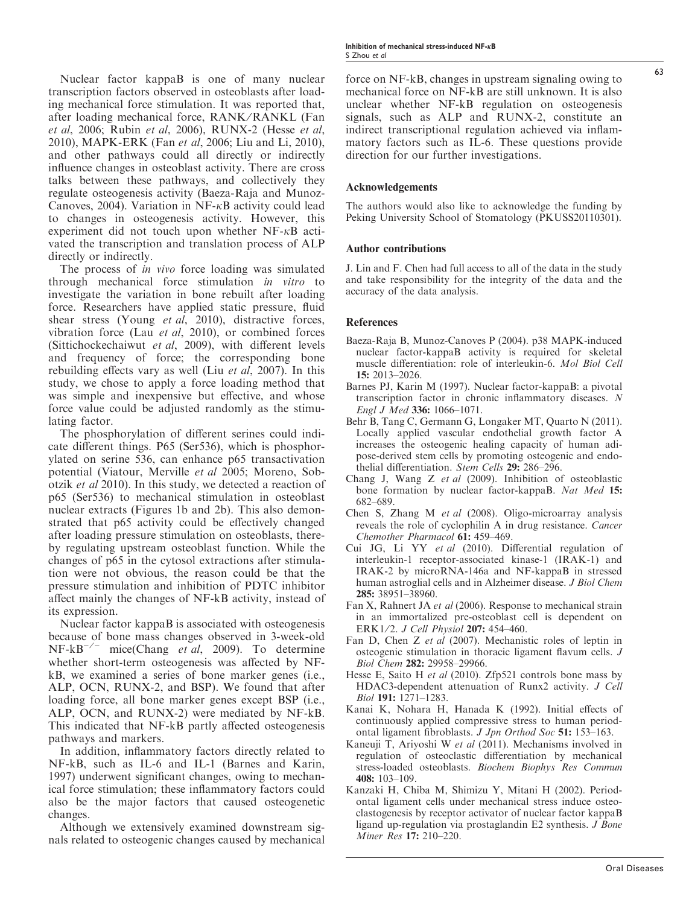Nuclear factor kappaB is one of many nuclear transcription factors observed in osteoblasts after loading mechanical force stimulation. It was reported that, after loading mechanical force, RANK/RANKL (Fan et al, 2006; Rubin et al, 2006), RUNX-2 (Hesse et al, 2010), MAPK-ERK (Fan et al, 2006; Liu and Li, 2010), and other pathways could all directly or indirectly influence changes in osteoblast activity. There are cross talks between these pathways, and collectively they regulate osteogenesis activity (Baeza-Raja and Munoz-Canoves, 2004). Variation in  $NF-\kappa B$  activity could lead to changes in osteogenesis activity. However, this experiment did not touch upon whether  $NF-\kappa B$  activated the transcription and translation process of ALP directly or indirectly.

The process of *in vivo* force loading was simulated through mechanical force stimulation in vitro to investigate the variation in bone rebuilt after loading force. Researchers have applied static pressure, fluid shear stress (Young et al, 2010), distractive forces, vibration force (Lau et al, 2010), or combined forces (Sittichockechaiwut et al, 2009), with different levels and frequency of force; the corresponding bone rebuilding effects vary as well (Liu et al, 2007). In this study, we chose to apply a force loading method that was simple and inexpensive but effective, and whose force value could be adjusted randomly as the stimulating factor.

The phosphorylation of different serines could indicate different things. P65 (Ser536), which is phosphorylated on serine 536, can enhance p65 transactivation potential (Viatour, Merville et al 2005; Moreno, Sobotzik et al 2010). In this study, we detected a reaction of p65 (Ser536) to mechanical stimulation in osteoblast nuclear extracts (Figures 1b and 2b). This also demonstrated that p65 activity could be effectively changed after loading pressure stimulation on osteoblasts, thereby regulating upstream osteoblast function. While the changes of p65 in the cytosol extractions after stimulation were not obvious, the reason could be that the pressure stimulation and inhibition of PDTC inhibitor affect mainly the changes of NF-kB activity, instead of its expression.

Nuclear factor kappaB is associated with osteogenesis because of bone mass changes observed in 3-week-old  $NF-kB^{-/-}$  mice(Chang *et al*, 2009). To determine whether short-term osteogenesis was affected by NFkB, we examined a series of bone marker genes (i.e., ALP, OCN, RUNX-2, and BSP). We found that after loading force, all bone marker genes except BSP (i.e., ALP, OCN, and RUNX-2) were mediated by NF-kB. This indicated that NF-kB partly affected osteogenesis pathways and markers.

In addition, inflammatory factors directly related to NF-kB, such as IL-6 and IL-1 (Barnes and Karin, 1997) underwent significant changes, owing to mechanical force stimulation; these inflammatory factors could also be the major factors that caused osteogenetic changes.

Although we extensively examined downstream signals related to osteogenic changes caused by mechanical force on NF-kB, changes in upstream signaling owing to mechanical force on NF-kB are still unknown. It is also unclear whether NF-kB regulation on osteogenesis signals, such as ALP and RUNX-2, constitute an indirect transcriptional regulation achieved via inflammatory factors such as IL-6. These questions provide direction for our further investigations.

#### Acknowledgements

The authors would also like to acknowledge the funding by Peking University School of Stomatology (PKUSS20110301).

#### Author contributions

J. Lin and F. Chen had full access to all of the data in the study and take responsibility for the integrity of the data and the accuracy of the data analysis.

#### **References**

- Baeza-Raja B, Munoz-Canoves P (2004). p38 MAPK-induced nuclear factor-kappaB activity is required for skeletal muscle differentiation: role of interleukin-6. Mol Biol Cell 15: 2013–2026.
- Barnes PJ, Karin M (1997). Nuclear factor-kappaB: a pivotal transcription factor in chronic inflammatory diseases. N Engl J Med 336: 1066–1071.
- Behr B, Tang C, Germann G, Longaker MT, Quarto N (2011). Locally applied vascular endothelial growth factor A increases the osteogenic healing capacity of human adipose-derived stem cells by promoting osteogenic and endothelial differentiation. Stem Cells 29: 286–296.
- Chang J, Wang Z et al (2009). Inhibition of osteoblastic bone formation by nuclear factor-kappaB. Nat Med 15: 682–689.
- Chen S, Zhang M et al (2008). Oligo-microarray analysis reveals the role of cyclophilin A in drug resistance. Cancer Chemother Pharmacol 61: 459–469.
- Cui JG, Li YY et al (2010). Differential regulation of interleukin-1 receptor-associated kinase-1 (IRAK-1) and IRAK-2 by microRNA-146a and NF-kappaB in stressed human astroglial cells and in Alzheimer disease. J Biol Chem 285: 38951–38960.
- Fan X, Rahnert JA et al (2006). Response to mechanical strain in an immortalized pre-osteoblast cell is dependent on ERK1/2. J Cell Physiol 207: 454-460.
- Fan D, Chen Z et al (2007). Mechanistic roles of leptin in osteogenic stimulation in thoracic ligament flavum cells. J Biol Chem 282: 29958–29966.
- Hesse E, Saito H *et al* (2010). Zfp521 controls bone mass by HDAC3-dependent attenuation of Runx2 activity. J Cell Biol 191: 1271–1283.
- Kanai K, Nohara H, Hanada K (1992). Initial effects of continuously applied compressive stress to human periodontal ligament fibroblasts. J Jpn Orthod Soc 51: 153–163.
- Kaneuji T, Ariyoshi W et al (2011). Mechanisms involved in regulation of osteoclastic differentiation by mechanical stress-loaded osteoblasts. Biochem Biophys Res Commun 408: 103–109.
- Kanzaki H, Chiba M, Shimizu Y, Mitani H (2002). Periodontal ligament cells under mechanical stress induce osteoclastogenesis by receptor activator of nuclear factor kappaB ligand up-regulation via prostaglandin E2 synthesis. J Bone Miner Res 17: 210–220.